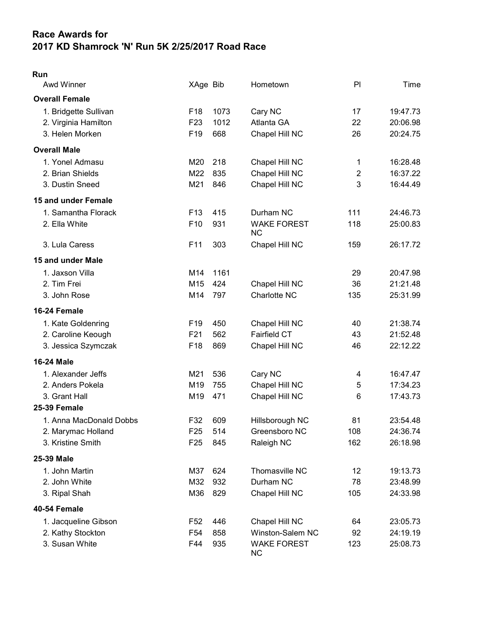## Race Awards for 2017 KD Shamrock 'N' Run 5K 2/25/2017 Road Race

| $\sim$ |  |
|--------|--|

| <b>Awd Winner</b>       | XAge Bib        |      | Hometown                        | PI             | Time     |
|-------------------------|-----------------|------|---------------------------------|----------------|----------|
| <b>Overall Female</b>   |                 |      |                                 |                |          |
| 1. Bridgette Sullivan   | F <sub>18</sub> | 1073 | Cary NC                         | 17             | 19:47.73 |
| 2. Virginia Hamilton    | F <sub>23</sub> | 1012 | Atlanta GA                      | 22             | 20:06.98 |
| 3. Helen Morken         | F <sub>19</sub> | 668  | Chapel Hill NC                  | 26             | 20:24.75 |
| <b>Overall Male</b>     |                 |      |                                 |                |          |
| 1. Yonel Admasu         | M20             | 218  | Chapel Hill NC                  | 1              | 16:28.48 |
| 2. Brian Shields        | M22             | 835  | Chapel Hill NC                  | $\overline{c}$ | 16:37.22 |
| 3. Dustin Sneed         | M21             | 846  | Chapel Hill NC                  | 3              | 16:44.49 |
| 15 and under Female     |                 |      |                                 |                |          |
| 1. Samantha Florack     | F <sub>13</sub> | 415  | Durham NC                       | 111            | 24:46.73 |
| 2. Ella White           | F10             | 931  | <b>WAKE FOREST</b><br><b>NC</b> | 118            | 25:00.83 |
| 3. Lula Caress          | F <sub>11</sub> | 303  | Chapel Hill NC                  | 159            | 26:17.72 |
| 15 and under Male       |                 |      |                                 |                |          |
| 1. Jaxson Villa         | M14             | 1161 |                                 | 29             | 20:47.98 |
| 2. Tim Frei             | M15             | 424  | Chapel Hill NC                  | 36             | 21:21.48 |
| 3. John Rose            | M14             | 797  | Charlotte NC                    | 135            | 25:31.99 |
| 16-24 Female            |                 |      |                                 |                |          |
| 1. Kate Goldenring      | F <sub>19</sub> | 450  | Chapel Hill NC                  | 40             | 21:38.74 |
| 2. Caroline Keough      | F21             | 562  | <b>Fairfield CT</b>             | 43             | 21:52.48 |
| 3. Jessica Szymczak     | F <sub>18</sub> | 869  | Chapel Hill NC                  | 46             | 22:12.22 |
| <b>16-24 Male</b>       |                 |      |                                 |                |          |
| 1. Alexander Jeffs      | M21             | 536  | Cary NC                         | 4              | 16:47.47 |
| 2. Anders Pokela        | M19             | 755  | Chapel Hill NC                  | 5              | 17:34.23 |
| 3. Grant Hall           | M19             | 471  | Chapel Hill NC                  | 6              | 17:43.73 |
| <b>25-39 Female</b>     |                 |      |                                 |                |          |
| 1. Anna MacDonald Dobbs | F32             | 609  | Hillsborough NC                 | 81             | 23:54.48 |
| 2. Marymac Holland      | F <sub>25</sub> | 514  | Greensboro NC                   | 108            | 24:36.74 |
| 3. Kristine Smith       | F <sub>25</sub> | 845  | Raleigh NC                      | 162            | 26:18.98 |
| 25-39 Male              |                 |      |                                 |                |          |
| 1. John Martin          | M37             | 624  | Thomasville NC                  | 12             | 19:13.73 |
| 2. John White           | M32             | 932  | Durham NC                       | 78             | 23:48.99 |
| 3. Ripal Shah           | M36             | 829  | Chapel Hill NC                  | 105            | 24:33.98 |
| 40-54 Female            |                 |      |                                 |                |          |
| 1. Jacqueline Gibson    | F52             | 446  | Chapel Hill NC                  | 64             | 23:05.73 |
| 2. Kathy Stockton       | F <sub>54</sub> | 858  | <b>Winston-Salem NC</b>         | 92             | 24:19.19 |
| 3. Susan White          | F44             | 935  | <b>WAKE FOREST</b><br><b>NC</b> | 123            | 25:08.73 |